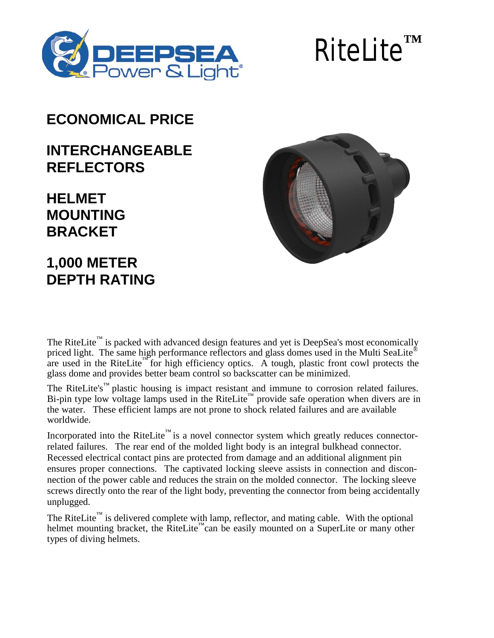

# RiteLite**™**

#### **ECONOMICAL PRICE**

#### **INTERCHANGEABLE REFLECTORS**

## **HELMET MOUNTING BRACKET**

# **1,000 METER DEPTH RATING**

The RiteLite™ is packed with advanced design features and yet is DeepSea's most economically priced light. The same high performance reflectors and glass domes used in the Multi SeaLite® are used in the RiteLite<sup> $M$ </sup> for high efficiency optics. A tough, plastic front cowl protects the glass dome and provides better beam control so backscatter can be minimized.

The RiteLite's<sup> $m$ </sup> plastic housing is impact resistant and immune to corrosion related failures. Bi-pin type low voltage lamps used in the RiteLite™ provide safe operation when divers are in the water. These efficient lamps are not prone to shock related failures and are available worldwide.

Incorporated into the RiteLite<sup>™</sup> is a novel connector system which greatly reduces connectorrelated failures. The rear end of the molded light body is an integral bulkhead connector. Recessed electrical contact pins are protected from damage and an additional alignment pin ensures proper connections. The captivated locking sleeve assists in connection and disconnection of the power cable and reduces the strain on the molded connector. The locking sleeve screws directly onto the rear of the light body, preventing the connector from being accidentally unplugged.

The RiteLite<sup> $m$ </sup> is delivered complete with lamp, reflector, and mating cable. With the optional helmet mounting bracket, the RiteLite<sup>™</sup>can be easily mounted on a SuperLite or many other types of diving helmets.